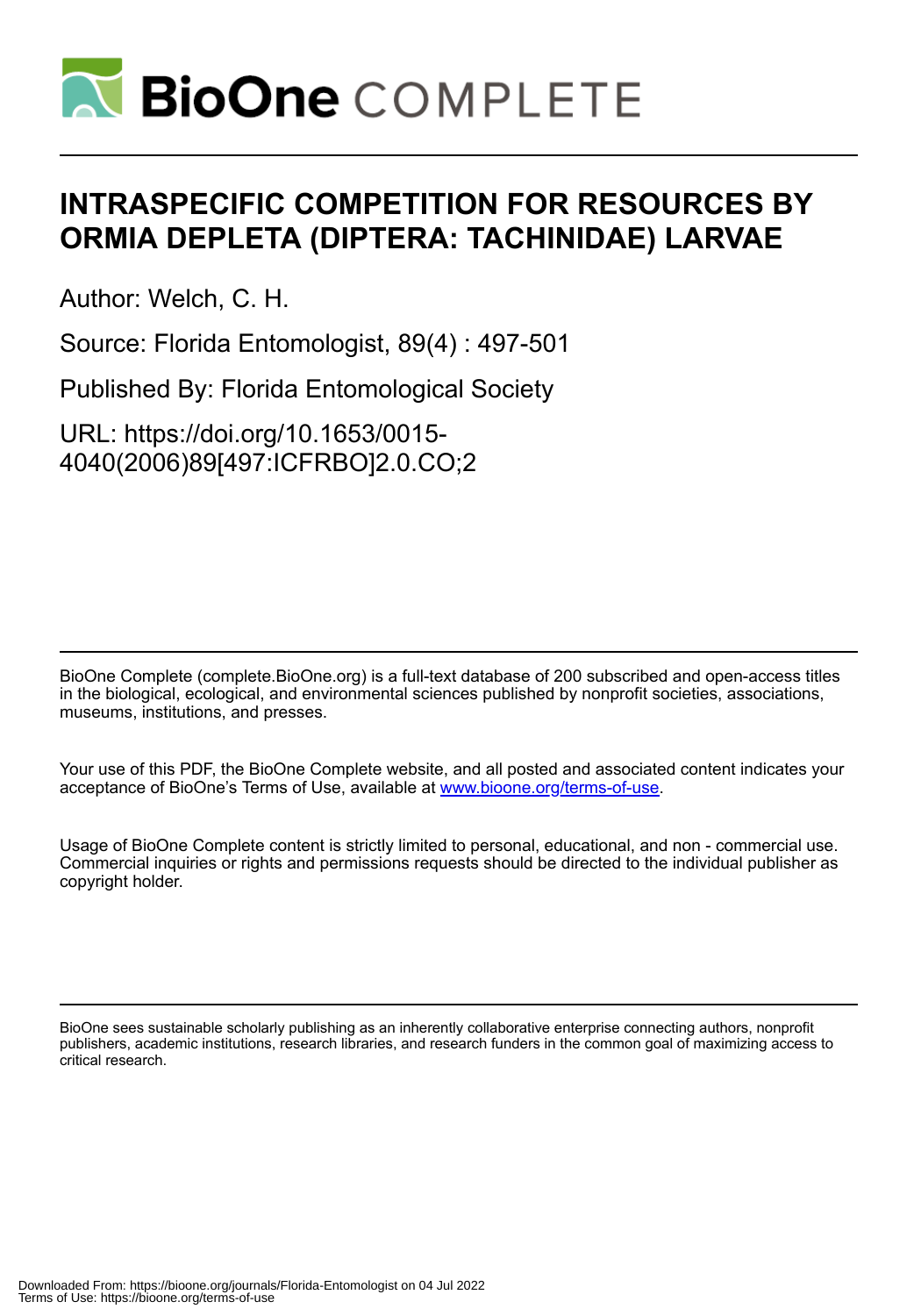

# **INTRASPECIFIC COMPETITION FOR RESOURCES BY ORMIA DEPLETA (DIPTERA: TACHINIDAE) LARVAE**

Author: Welch, C. H.

Source: Florida Entomologist, 89(4) : 497-501

Published By: Florida Entomological Society

URL: https://doi.org/10.1653/0015- 4040(2006)89[497:ICFRBO]2.0.CO;2

BioOne Complete (complete.BioOne.org) is a full-text database of 200 subscribed and open-access titles in the biological, ecological, and environmental sciences published by nonprofit societies, associations, museums, institutions, and presses.

Your use of this PDF, the BioOne Complete website, and all posted and associated content indicates your acceptance of BioOne's Terms of Use, available at www.bioone.org/terms-of-use.

Usage of BioOne Complete content is strictly limited to personal, educational, and non - commercial use. Commercial inquiries or rights and permissions requests should be directed to the individual publisher as copyright holder.

BioOne sees sustainable scholarly publishing as an inherently collaborative enterprise connecting authors, nonprofit publishers, academic institutions, research libraries, and research funders in the common goal of maximizing access to critical research.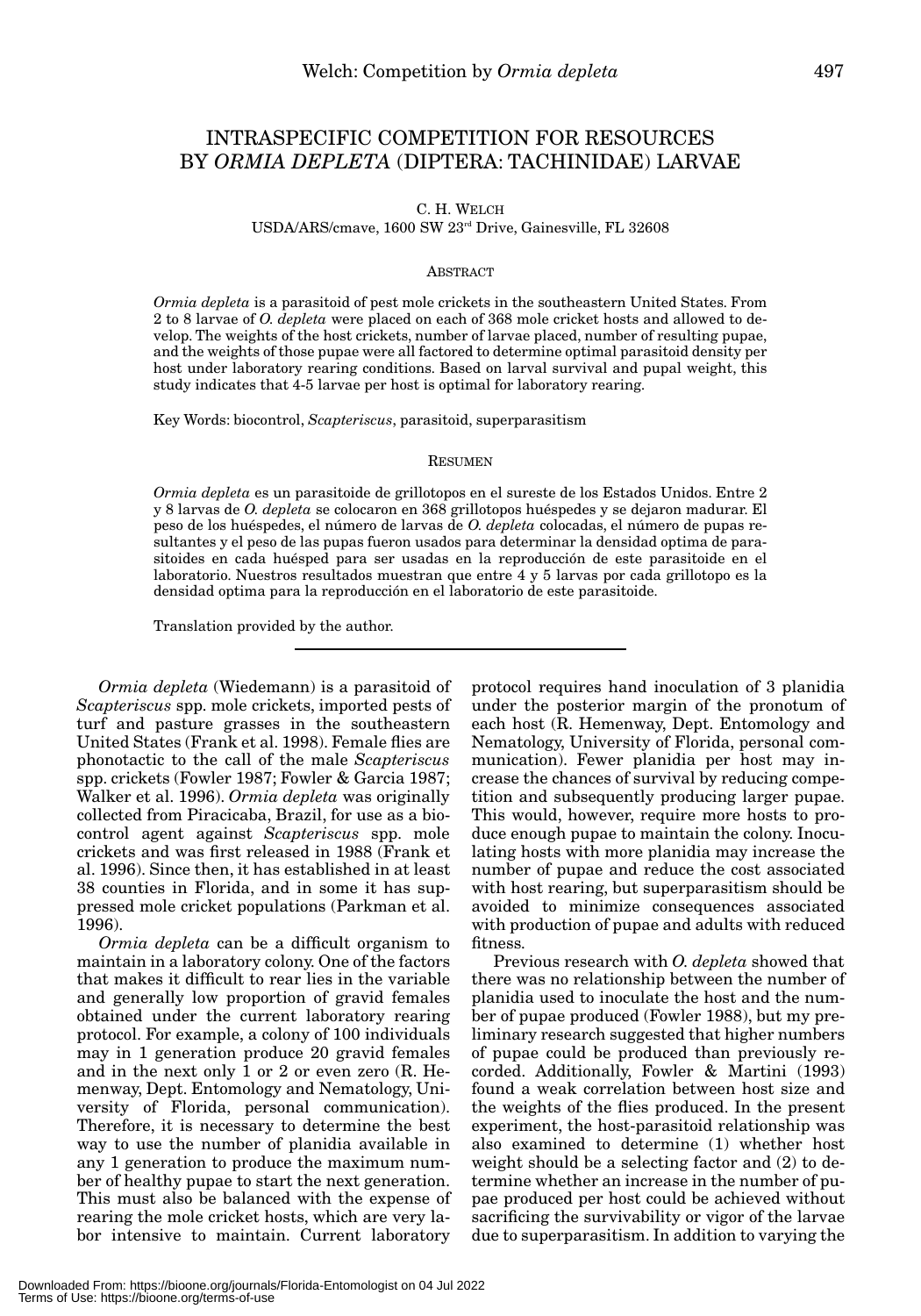# INTRASPECIFIC COMPETITION FOR RESOURCES BY *ORMIA DEPLETA* (DIPTERA: TACHINIDAE) LARVAE

C. H. WELCH

USDA/ARS/cmave, 1600 SW 23rd Drive, Gainesville, FL 32608

### ABSTRACT

*Ormia depleta* is a parasitoid of pest mole crickets in the southeastern United States. From 2 to 8 larvae of *O. depleta* were placed on each of 368 mole cricket hosts and allowed to develop. The weights of the host crickets, number of larvae placed, number of resulting pupae, and the weights of those pupae were all factored to determine optimal parasitoid density per host under laboratory rearing conditions. Based on larval survival and pupal weight, this study indicates that 4-5 larvae per host is optimal for laboratory rearing.

Key Words: biocontrol, *Scapteriscus*, parasitoid, superparasitism

#### **RESUMEN**

*Ormia depleta* es un parasitoide de grillotopos en el sureste de los Estados Unidos. Entre 2 y 8 larvas de *O. depleta* se colocaron en 368 grillotopos huéspedes y se dejaron madurar. El peso de los huéspedes, el número de larvas de *O. depleta* colocadas, el número de pupas resultantes y el peso de las pupas fueron usados para determinar la densidad optima de parasitoides en cada huésped para ser usadas en la reproducción de este parasitoide en el laboratorio. Nuestros resultados muestran que entre 4 y 5 larvas por cada grillotopo es la densidad optima para la reproducción en el laboratorio de este parasitoide.

Translation provided by the author.

*Ormia depleta* (Wiedemann) is a parasitoid of *Scapteriscus* spp. mole crickets, imported pests of turf and pasture grasses in the southeastern United States (Frank et al. 1998). Female flies are phonotactic to the call of the male *Scapteriscus* spp. crickets (Fowler 1987; Fowler & Garcia 1987; Walker et al. 1996). *Ormia depleta* was originally collected from Piracicaba, Brazil, for use as a biocontrol agent against *Scapteriscus* spp. mole crickets and was first released in 1988 (Frank et al. 1996). Since then, it has established in at least 38 counties in Florida, and in some it has suppressed mole cricket populations (Parkman et al. 1996).

*Ormia depleta* can be a difficult organism to maintain in a laboratory colony. One of the factors that makes it difficult to rear lies in the variable and generally low proportion of gravid females obtained under the current laboratory rearing protocol. For example, a colony of 100 individuals may in 1 generation produce 20 gravid females and in the next only 1 or 2 or even zero (R. Hemenway, Dept. Entomology and Nematology, University of Florida, personal communication). Therefore, it is necessary to determine the best way to use the number of planidia available in any 1 generation to produce the maximum number of healthy pupae to start the next generation. This must also be balanced with the expense of rearing the mole cricket hosts, which are very labor intensive to maintain. Current laboratory

protocol requires hand inoculation of 3 planidia under the posterior margin of the pronotum of each host (R. Hemenway, Dept. Entomology and Nematology, University of Florida, personal communication). Fewer planidia per host may increase the chances of survival by reducing competition and subsequently producing larger pupae. This would, however, require more hosts to produce enough pupae to maintain the colony. Inoculating hosts with more planidia may increase the number of pupae and reduce the cost associated with host rearing, but superparasitism should be avoided to minimize consequences associated with production of pupae and adults with reduced fitness.

Previous research with *O. depleta* showed that there was no relationship between the number of planidia used to inoculate the host and the number of pupae produced (Fowler 1988), but my preliminary research suggested that higher numbers of pupae could be produced than previously recorded. Additionally, Fowler & Martini (1993) found a weak correlation between host size and the weights of the flies produced. In the present experiment, the host-parasitoid relationship was also examined to determine (1) whether host weight should be a selecting factor and (2) to determine whether an increase in the number of pupae produced per host could be achieved without sacrificing the survivability or vigor of the larvae due to superparasitism. In addition to varying the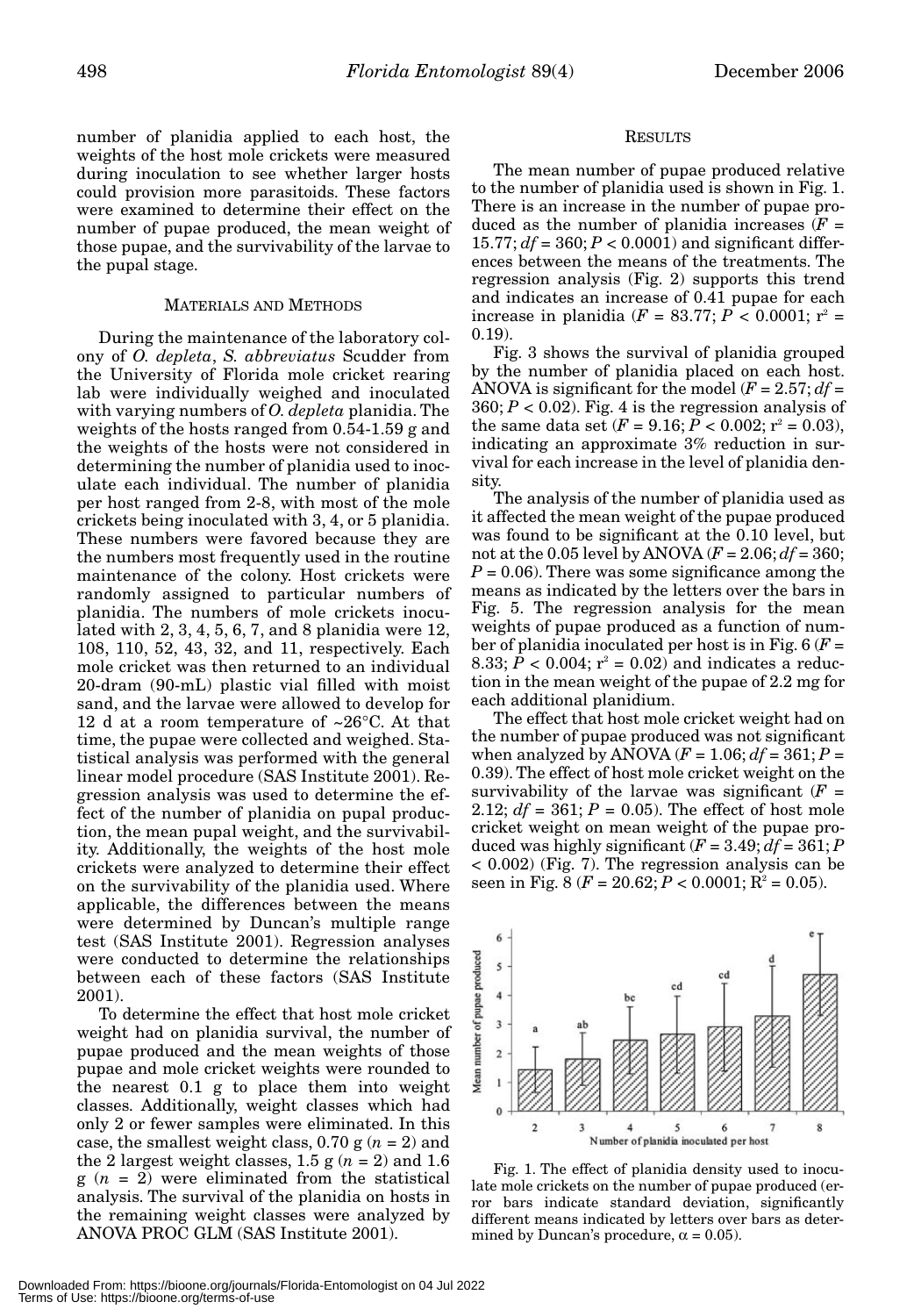number of planidia applied to each host, the weights of the host mole crickets were measured during inoculation to see whether larger hosts could provision more parasitoids. These factors were examined to determine their effect on the number of pupae produced, the mean weight of those pupae, and the survivability of the larvae to the pupal stage.

## MATERIALS AND METHODS

During the maintenance of the laboratory colony of *O. depleta*, *S. abbreviatus* Scudder from the University of Florida mole cricket rearing lab were individually weighed and inoculated with varying numbers of *O. depleta* planidia. The weights of the hosts ranged from 0.54-1.59 g and the weights of the hosts were not considered in determining the number of planidia used to inoculate each individual. The number of planidia per host ranged from 2-8, with most of the mole crickets being inoculated with 3, 4, or 5 planidia. These numbers were favored because they are the numbers most frequently used in the routine maintenance of the colony. Host crickets were randomly assigned to particular numbers of planidia. The numbers of mole crickets inoculated with 2, 3, 4, 5, 6, 7, and 8 planidia were 12, 108, 110, 52, 43, 32, and 11, respectively. Each mole cricket was then returned to an individual 20-dram (90-mL) plastic vial filled with moist sand, and the larvae were allowed to develop for 12 d at a room temperature of ~26°C. At that time, the pupae were collected and weighed. Statistical analysis was performed with the general linear model procedure (SAS Institute 2001). Regression analysis was used to determine the effect of the number of planidia on pupal production, the mean pupal weight, and the survivability. Additionally, the weights of the host mole crickets were analyzed to determine their effect on the survivability of the planidia used. Where applicable, the differences between the means were determined by Duncan's multiple range test (SAS Institute 2001). Regression analyses were conducted to determine the relationships between each of these factors (SAS Institute 2001).

To determine the effect that host mole cricket weight had on planidia survival, the number of pupae produced and the mean weights of those pupae and mole cricket weights were rounded to the nearest 0.1 g to place them into weight classes. Additionally, weight classes which had only 2 or fewer samples were eliminated. In this case, the smallest weight class,  $0.70$  g  $(n = 2)$  and the 2 largest weight classes, 1.5  $g(n = 2)$  and 1.6  $g(n = 2)$  were eliminated from the statistical analysis. The survival of the planidia on hosts in the remaining weight classes were analyzed by ANOVA PROC GLM (SAS Institute 2001).

# RESULTS

The mean number of pupae produced relative to the number of planidia used is shown in Fig. 1. There is an increase in the number of pupae produced as the number of planidia increases (*F* = 15.77;  $df = 360$ ;  $P < 0.0001$ ) and significant differences between the means of the treatments. The regression analysis (Fig. 2) supports this trend and indicates an increase of 0.41 pupae for each increase in planidia ( $F = 83.77; P < 0.0001; r^2 =$ 0.19).

Fig. 3 shows the survival of planidia grouped by the number of planidia placed on each host. ANOVA is significant for the model  $(F = 2.57; df =$  $360; P < 0.02$ ). Fig. 4 is the regression analysis of the same data set  $(F = 9.16; P < 0.002; r^2 = 0.03)$ , indicating an approximate 3% reduction in survival for each increase in the level of planidia density.

The analysis of the number of planidia used as it affected the mean weight of the pupae produced was found to be significant at the 0.10 level, but not at the 0.05 level by ANOVA ( $F = 2.06$ ;  $df = 360$ ;  $P = 0.06$ ). There was some significance among the means as indicated by the letters over the bars in Fig. 5. The regression analysis for the mean weights of pupae produced as a function of number of planidia inoculated per host is in Fig. 6 (*F* = 8.33;  $P < 0.004$ ;  $r^2 = 0.02$ ) and indicates a reduction in the mean weight of the pupae of 2.2 mg for each additional planidium.

The effect that host mole cricket weight had on the number of pupae produced was not significant when analyzed by ANOVA ( $F = 1.06$ ;  $df = 361$ ;  $P =$ 0.39). The effect of host mole cricket weight on the survivability of the larvae was significant  $(F =$ 2.12;  $df = 361$ ;  $P = 0.05$ ). The effect of host mole cricket weight on mean weight of the pupae produced was highly significant  $(F = 3.49; df = 361; P$ < 0.002) (Fig. 7). The regression analysis can be seen in Fig. 8 ( $F = 20.62; P < 0.0001; R^2 = 0.05$ ).



Fig. 1. The effect of planidia density used to inoculate mole crickets on the number of pupae produced (error bars indicate standard deviation, significantly different means indicated by letters over bars as determined by Duncan's procedure,  $\alpha = 0.05$ ).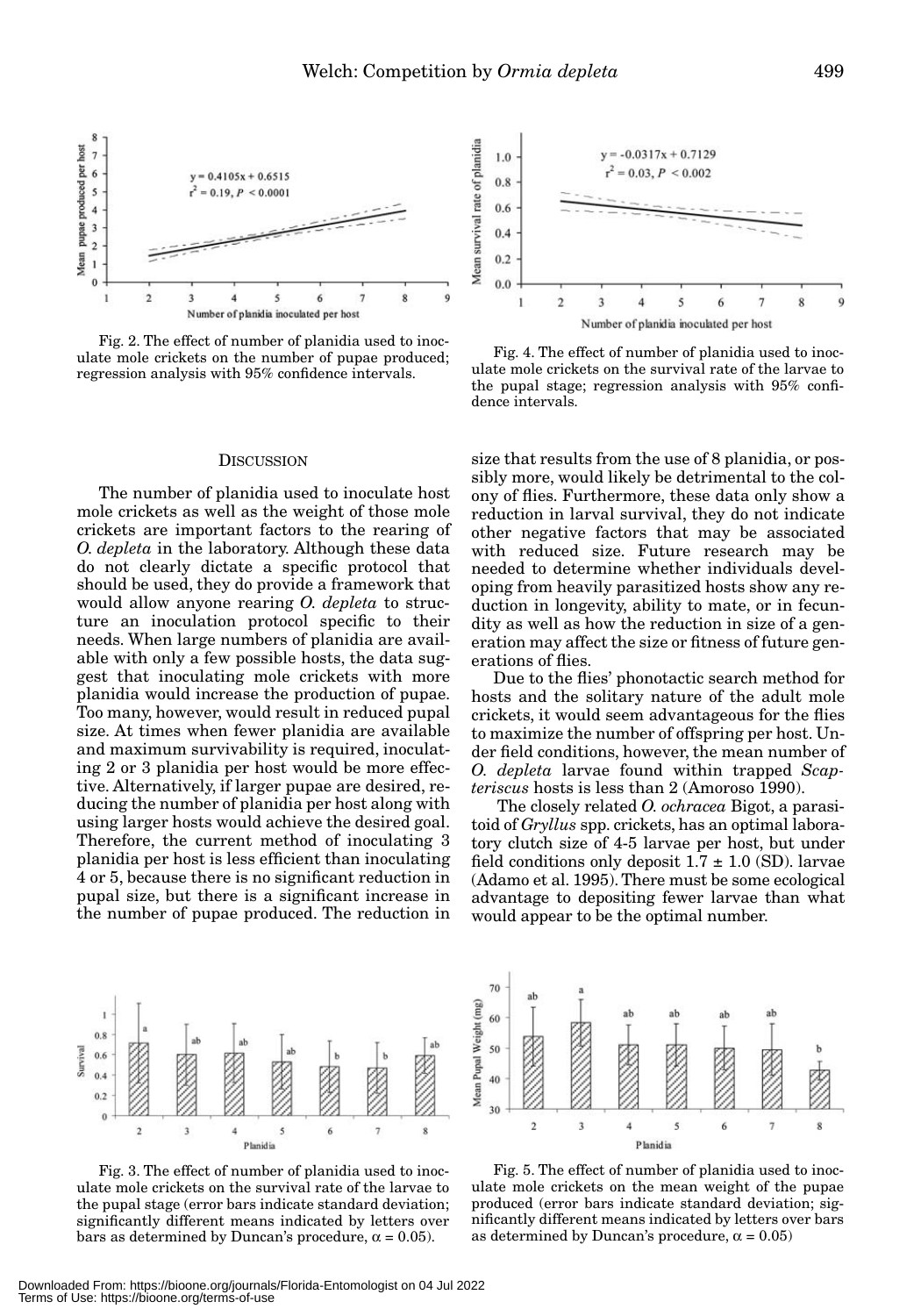

Fig. 2. The effect of number of planidia used to inoculate mole crickets on the number of pupae produced; regression analysis with 95% confidence intervals.

#### **DISCUSSION**

The number of planidia used to inoculate host mole crickets as well as the weight of those mole crickets are important factors to the rearing of *O. depleta* in the laboratory. Although these data do not clearly dictate a specific protocol that should be used, they do provide a framework that would allow anyone rearing *O. depleta* to structure an inoculation protocol specific to their needs. When large numbers of planidia are available with only a few possible hosts, the data suggest that inoculating mole crickets with more planidia would increase the production of pupae. Too many, however, would result in reduced pupal size. At times when fewer planidia are available and maximum survivability is required, inoculating 2 or 3 planidia per host would be more effective. Alternatively, if larger pupae are desired, reducing the number of planidia per host along with using larger hosts would achieve the desired goal. Therefore, the current method of inoculating 3 planidia per host is less efficient than inoculating 4 or 5, because there is no significant reduction in pupal size, but there is a significant increase in the number of pupae produced. The reduction in



Fig. 4. The effect of number of planidia used to inoculate mole crickets on the survival rate of the larvae to the pupal stage; regression analysis with 95% confidence intervals.

size that results from the use of 8 planidia, or possibly more, would likely be detrimental to the colony of flies. Furthermore, these data only show a reduction in larval survival, they do not indicate other negative factors that may be associated with reduced size. Future research may be needed to determine whether individuals developing from heavily parasitized hosts show any reduction in longevity, ability to mate, or in fecundity as well as how the reduction in size of a generation may affect the size or fitness of future generations of flies.

Due to the flies' phonotactic search method for hosts and the solitary nature of the adult mole crickets, it would seem advantageous for the flies to maximize the number of offspring per host. Under field conditions, however, the mean number of *O. depleta* larvae found within trapped *Scapteriscus* hosts is less than 2 (Amoroso 1990).

The closely related *O. ochracea* Bigot, a parasitoid of *Gryllus* spp. crickets, has an optimal laboratory clutch size of 4-5 larvae per host, but under field conditions only deposit  $1.7 \pm 1.0$  (SD). larvae (Adamo et al. 1995). There must be some ecological advantage to depositing fewer larvae than what would appear to be the optimal number.



Fig. 3. The effect of number of planidia used to inoculate mole crickets on the survival rate of the larvae to the pupal stage (error bars indicate standard deviation; significantly different means indicated by letters over bars as determined by Duncan's procedure,  $\alpha = 0.05$ ).



Fig. 5. The effect of number of planidia used to inoculate mole crickets on the mean weight of the pupae produced (error bars indicate standard deviation; significantly different means indicated by letters over bars as determined by Duncan's procedure,  $\alpha = 0.05$ )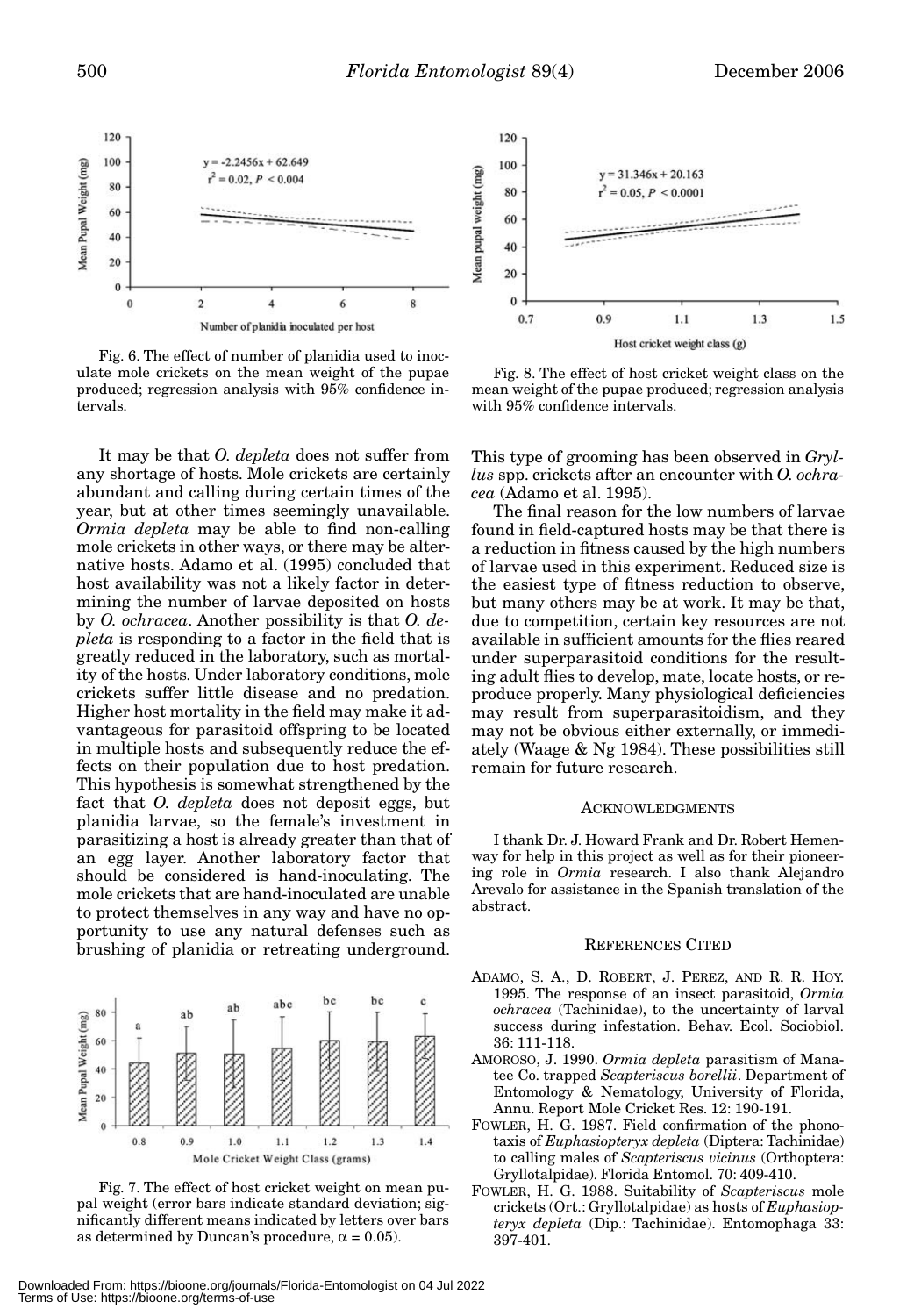

Fig. 6. The effect of number of planidia used to inoculate mole crickets on the mean weight of the pupae produced; regression analysis with 95% confidence intervals.

It may be that *O. depleta* does not suffer from any shortage of hosts. Mole crickets are certainly abundant and calling during certain times of the year, but at other times seemingly unavailable. *Ormia depleta* may be able to find non-calling mole crickets in other ways, or there may be alternative hosts. Adamo et al. (1995) concluded that host availability was not a likely factor in determining the number of larvae deposited on hosts by *O. ochracea*. Another possibility is that *O. depleta* is responding to a factor in the field that is greatly reduced in the laboratory, such as mortality of the hosts. Under laboratory conditions, mole crickets suffer little disease and no predation. Higher host mortality in the field may make it advantageous for parasitoid offspring to be located in multiple hosts and subsequently reduce the effects on their population due to host predation. This hypothesis is somewhat strengthened by the fact that *O. depleta* does not deposit eggs, but planidia larvae, so the female's investment in parasitizing a host is already greater than that of an egg layer. Another laboratory factor that should be considered is hand-inoculating. The mole crickets that are hand-inoculated are unable to protect themselves in any way and have no opportunity to use any natural defenses such as brushing of planidia or retreating underground.



Fig. 7. The effect of host cricket weight on mean pupal weight (error bars indicate standard deviation; significantly different means indicated by letters over bars as determined by Duncan's procedure,  $\alpha = 0.05$ ).



Fig. 8. The effect of host cricket weight class on the mean weight of the pupae produced; regression analysis with 95% confidence intervals.

This type of grooming has been observed in *Gryllus* spp. crickets after an encounter with *O. ochracea* (Adamo et al. 1995).

The final reason for the low numbers of larvae found in field-captured hosts may be that there is a reduction in fitness caused by the high numbers of larvae used in this experiment. Reduced size is the easiest type of fitness reduction to observe, but many others may be at work. It may be that, due to competition, certain key resources are not available in sufficient amounts for the flies reared under superparasitoid conditions for the resulting adult flies to develop, mate, locate hosts, or reproduce properly. Many physiological deficiencies may result from superparasitoidism, and they may not be obvious either externally, or immediately (Waage & Ng 1984). These possibilities still remain for future research.

### ACKNOWLEDGMENTS

I thank Dr. J. Howard Frank and Dr. Robert Hemenway for help in this project as well as for their pioneering role in *Ormia* research. I also thank Alejandro Arevalo for assistance in the Spanish translation of the abstract.

#### REFERENCES CITED

- ADAMO, S. A., D. ROBERT, J. PEREZ, AND R. R. HOY. 1995. The response of an insect parasitoid, *Ormia ochracea* (Tachinidae), to the uncertainty of larval success during infestation. Behav. Ecol. Sociobiol. 36: 111-118.
- AMOROSO, J. 1990. *Ormia depleta* parasitism of Manatee Co. trapped *Scapteriscus borellii*. Department of Entomology & Nematology, University of Florida, Annu. Report Mole Cricket Res. 12: 190-191.
- FOWLER, H. G. 1987. Field confirmation of the phonotaxis of *Euphasiopteryx depleta* (Diptera: Tachinidae) to calling males of *Scapteriscus vicinus* (Orthoptera: Gryllotalpidae). Florida Entomol. 70: 409-410.
- FOWLER, H. G. 1988. Suitability of *Scapteriscus* mole crickets (Ort.: Gryllotalpidae) as hosts of *Euphasiopteryx depleta* (Dip.: Tachinidae). Entomophaga 33: 397-401.